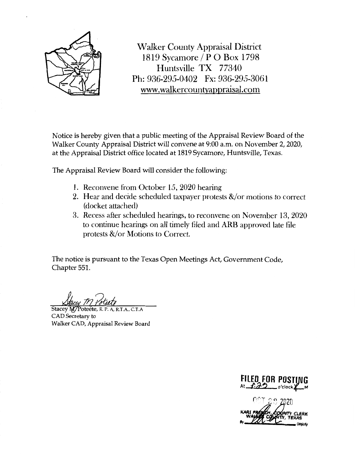

Walker County Appraisal District 1819 Sycamore/ P 0 Box 1798 Huntsville TX 77340 Ph: 936-295-0402 Fx: 936-295-3061 www. walkercountyappraisal.com

Notice is hereby given that a public meeting of the Appraisal Review Board of the Walker County Appraisal District will convene at 9:00 a.m. on November 2, 2020, at the Appraisal District office located at 1819 Sycamore, Huntsville, Texas.

The Appraisal Review Board will consider the following:

- 1. Reconvene from October 15, 2020 hearing
- 2. Hear and decide scheduled taxpayer protests  $\&\/$  or motions to correct (docket attached)
- 3. Recess after scheduled hearings, to reconvene on November 13, 2020 to continue hearings on all timely filed and ARB approved late file protests  $&\sqrt{\text{or}}$  Motions to Correct.

The notice is pursuant to the Texas Open Meetings Act, Government Code, Chapter 551.

Stacey M/Poteete, R. P. A, R.T.A., C.T.A. CAD Secretary to Walker CAD, Appraisal Review Board



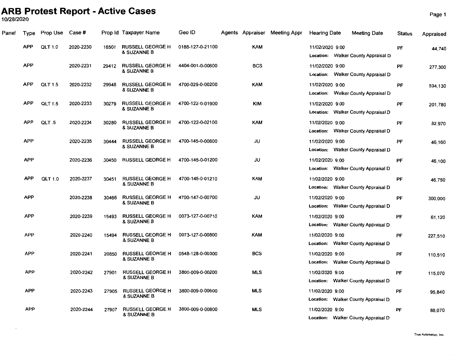## **ARB Protest Report - Active Cases**

10/28/2020

| Panel | Type       | Prop Use       | Case #    |       | Prop Id Taxpayer Name                  | Geo ID           |            | Agents Appraiser Meeting Appr | <b>Hearing Date</b> | <b>Meeting Date</b>                 | <b>Status</b> | Appraised |
|-------|------------|----------------|-----------|-------|----------------------------------------|------------------|------------|-------------------------------|---------------------|-------------------------------------|---------------|-----------|
|       | <b>APP</b> | <b>QLT 1.0</b> | 2020-2230 | 16501 | <b>RUSSELL GEORGE H</b><br>& SUZANNE B | 0188-127-0-21100 | <b>KAM</b> |                               | 11/02/2020 9:00     | Location: Walker County Appraisal D | PF            | 44,740    |
|       | <b>APP</b> |                | 2020-2231 | 29412 | <b>RUSSELL GEORGE H</b><br>& SUZANNE B | 4404-001-0-00600 | BCS        |                               | 11/02/2020 9:00     | Location: Walker County Appraisal D | PF            | 277,300   |
|       | <b>APP</b> | <b>QLT 1.5</b> | 2020-2232 | 29948 | <b>RUSSELL GEORGE H</b><br>& SUZANNE B | 4700-029-0-00200 | <b>KAM</b> |                               | 11/02/2020 9:00     | Location: Walker County Appraisal D | PF            | 534,130   |
|       | <b>APP</b> | <b>QLT 1.5</b> | 2020-2233 | 30279 | <b>RUSSELL GEORGE H</b><br>& SUZANNE B | 4700-122-0-01900 | <b>KIM</b> |                               | 11/02/2020 9:00     | Location: Walker County Appraisal D | PF            | 201,780   |
|       | <b>APP</b> | QLT .5         | 2020-2234 | 30280 | <b>RUSSELL GEORGE H</b><br>& SUZANNE B | 4700-122-0-02100 | <b>KAM</b> |                               | 11/02/2020 9:00     | Location: Walker County Appraisal D | PF            | 82.970    |
|       | <b>APP</b> |                | 2020-2235 | 30444 | <b>RUSSELL GEORGE H</b><br>& SUZANNE B | 4700-145-0-00600 | JU         |                               | 11/02/2020 9:00     | Location: Walker County Appraisal D | PF            | 46,160    |
|       | <b>APP</b> |                | 2020-2236 | 30450 | <b>RUSSELL GEORGE H</b>                | 4700-145-0-01200 | JU         |                               | 11/02/2020 9:00     | Location: Walker County Appraisal D | PF            | 46,100    |
|       | <b>APP</b> | <b>QLT 1.0</b> | 2020-2237 | 30451 | <b>RUSSELL GEORGE H</b><br>& SUZANNE B | 4700-145-0-01210 | <b>KAM</b> |                               | 11/02/2020 9:00     | Location: Walker County Appraisal D | PF            | 46,750    |
|       | <b>APP</b> |                | 2020-2238 | 30466 | <b>RUSSELL GEORGE H</b><br>& SUZANNE B | 4700-147-0-00700 | JU         |                               | 11/02/2020 9:00     | Location: Walker County Appraisal D | <b>PF</b>     | 300,000   |
|       | <b>APP</b> |                | 2020-2239 | 15493 | <b>RUSSELL GEORGE H</b><br>& SUZANNE B | 0073-127-0-00710 | <b>KAM</b> |                               | 11/02/2020 9:00     | Location: Walker County Appraisal D | PF            | 61,120    |
|       | <b>APP</b> |                | 2020-2240 | 15494 | <b>RUSSELL GEORGE H</b><br>& SUZANNE B | 0073-127-0-00800 | <b>KAM</b> |                               | 11/02/2020 9:00     | Location: Walker County Appraisal D | PF            | 227,510   |
|       | <b>APP</b> |                | 2020-2241 | 20850 | <b>RUSSELL GEORGE H</b><br>& SUZANNE B | 0548-128-0-00300 | <b>BCS</b> |                               | 11/02/2020 9:00     | Location: Walker County Appraisal D | PF            | 110,510   |
|       | <b>APP</b> |                | 2020-2242 | 27901 | <b>RUSSELL GEORGE H</b><br>& SUZANNE B | 3800-009-0-00200 | <b>MLS</b> |                               | 11/02/2020 9:00     | Location: Walker County Appraisal D | PF            | 115,070   |
|       | <b>APP</b> |                | 2020-2243 | 27905 | <b>RUSSELL GEORGE H</b><br>& SUZANNE B | 3800-009-0-00600 | <b>MLS</b> |                               | 11/02/2020 9:00     | Location: Walker County Appraisal D | PF            | 95,840    |
|       | <b>APP</b> |                | 2020-2244 | 27907 | <b>RUSSELL GEORGE H</b><br>& SUZANNE B | 3800-009-0-00800 | <b>MLS</b> |                               | 11/02/2020 9:00     | Location: Walker County Appraisal D | PF            | 88,070    |

Page 1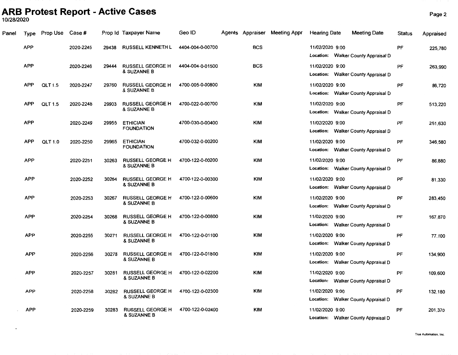# **ARB Protest Report - Active Cases** Page2 10/28/2020

 $\overline{\phantom{a}}$ 

| Panel | Type       | Prop Use       | Case #    |       | Prop Id Taxpayer Name                  | Geo ID           | Agents Appraiser | <b>Meeting Appr</b> | <b>Hearing Date</b> | <b>Meeting Date</b>                 | <b>Status</b> | Appraised |
|-------|------------|----------------|-----------|-------|----------------------------------------|------------------|------------------|---------------------|---------------------|-------------------------------------|---------------|-----------|
|       | APP        |                | 2020-2245 | 29438 | <b>RUSSELL KENNETH L</b>               | 4404-004-0-00700 | <b>BCS</b>       |                     | 11/02/2020 9:00     | Location: Walker County Appraisal D | PF            | 225,780   |
|       | <b>APP</b> |                | 2020-2246 | 29444 | <b>RUSSELL GEORGE H</b><br>& SUZANNE B | 4404-004-0-01500 | <b>BCS</b>       |                     | 11/02/2020 9:00     | Location: Walker County Appraisal D | PF            | 263,990   |
|       | <b>APP</b> | <b>QLT 1.5</b> | 2020-2247 | 29760 | <b>RUSSELL GEORGE H</b><br>& SUZANNE B | 4700-005-0-00800 | <b>KIM</b>       |                     | 11/02/2020 9:00     | Location: Walker County Appraisal D | PF            | 86,720    |
|       | <b>APP</b> | <b>QLT 1.5</b> | 2020-2248 | 29903 | <b>RUSSELL GEORGE H</b><br>& SUZANNE B | 4700-022-0-00700 | <b>KIM</b>       |                     | 11/02/2020 9:00     | Location: Walker County Appraisal D | PF            | 513,220   |
|       | <b>APP</b> |                | 2020-2249 | 29955 | <b>ETHICIAN</b><br><b>FOUNDATION</b>   | 4700-030-0-00400 | <b>KIM</b>       |                     | 11/02/2020 9:00     | Location: Walker County Appraisal D | PF            | 251,630   |
|       | <b>APP</b> | QLT 1.0        | 2020-2250 | 29965 | <b>ETHICIAN</b><br><b>FOUNDATION</b>   | 4700-032-0-00200 | <b>KIM</b>       |                     | 11/02/2020 9:00     | Location: Walker County Appraisal D | PF            | 346,580   |
|       | <b>APP</b> |                | 2020-2251 | 30263 | <b>RUSSELL GEORGE H</b><br>& SUZANNE B | 4700-122-0-00200 | <b>KIM</b>       |                     | 11/02/2020 9:00     | Location: Walker County Appraisal D | PF            | 86,880    |
|       | <b>APP</b> |                | 2020-2252 | 30264 | <b>RUSSELL GEORGE H</b><br>& SUZANNE B | 4700-122-0-00300 | <b>KIM</b>       |                     | 11/02/2020 9:00     | Location: Walker County Appraisal D | PF            | 81,330    |
|       | <b>APP</b> |                | 2020-2253 | 30267 | <b>RUSSELL GEORGE H</b><br>& SUZANNE B | 4700-122-0-00600 | <b>KIM</b>       |                     | 11/02/2020 9:00     | Location: Walker County Appraisal D | PF            | 283,450   |
|       | <b>APP</b> |                | 2020-2254 | 30268 | <b>RUSSELL GEORGE H</b><br>& SUZANNE B | 4700-122-0-00800 | <b>KIM</b>       |                     | 11/02/2020 9:00     | Location: Walker County Appraisal D | PF            | 167,870   |
|       | <b>APP</b> |                | 2020-2255 | 30271 | <b>RUSSELL GEORGE H</b><br>& SUZANNE B | 4700-122-0-01100 | <b>KIM</b>       |                     | 11/02/2020 9:00     | Location: Walker County Appraisal D | PF            | 77,100    |
|       | <b>APP</b> |                | 2020-2256 | 30278 | <b>RUSSELL GEORGE H</b><br>& SUZANNE B | 4700-122-0-01800 | <b>KIM</b>       |                     | 11/02/2020 9:00     | Location: Walker County Appraisal D | PF            | 134,900   |
|       | <b>APP</b> |                | 2020-2257 | 30281 | <b>RUSSELL GEORGE H</b><br>& SUZANNE B | 4700-122-0-02200 | <b>KIM</b>       |                     | 11/02/2020 9:00     | Location: Walker County Appraisal D | PF            | 109,600   |
|       | <b>APP</b> |                | 2020-2258 | 30282 | <b>RUSSELL GEORGE H</b><br>& SUZANNE B | 4700-122-0-02300 | <b>KIM</b>       |                     | 11/02/2020 9:00     | Location: Walker County Appraisal D | PF            | 132,180   |
|       | <b>APP</b> |                | 2020-2259 | 30283 | <b>RUSSELL GEORGE H</b><br>& SUZANNE B | 4700-122-0-02400 | <b>KIM</b>       |                     | 11/02/2020 9:00     | Location: Walker County Appraisal D | PF            | 201,370   |

**True Automation,** Inc.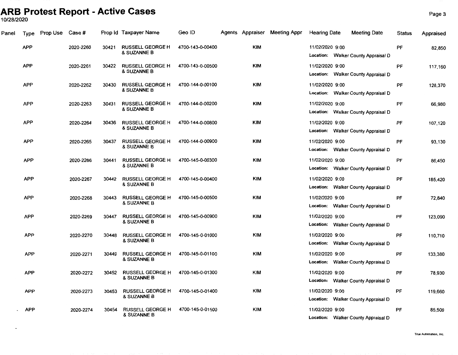# **ARB Protest Report - Active Cases** Page3 10/28/2020

 $\cdot$ 

| Panel | <b>Type</b> | Prop Use Case # |           |       | Prop Id Taxpayer Name                             | Geo ID           |            | Agents Appraiser Meeting Appr | <b>Hearing Date</b> | <b>Meeting Date</b>                 | <b>Status</b> | Appraised |
|-------|-------------|-----------------|-----------|-------|---------------------------------------------------|------------------|------------|-------------------------------|---------------------|-------------------------------------|---------------|-----------|
|       | <b>APP</b>  |                 | 2020-2260 | 30421 | <b>RUSSELL GEORGE H</b><br><b>&amp; SUZANNE B</b> | 4700-143-0-00400 | <b>KIM</b> |                               | 11/02/2020 9:00     | Location: Walker County Appraisal D | PF            | 82,850    |
|       | <b>APP</b>  |                 | 2020-2261 | 30422 | <b>RUSSELL GEORGE H</b><br>& SUZANNE B            | 4700-143-0-00500 | <b>KIM</b> |                               | 11/02/2020 9:00     | Location: Walker County Appraisal D | PF            | 117,160   |
|       | <b>APP</b>  |                 | 2020-2262 | 30430 | <b>RUSSELL GEORGE H</b><br>& SUZANNE B            | 4700-144-0-00100 | <b>KIM</b> |                               | 11/02/2020 9:00     | Location: Walker County Appraisal D | PF            | 128,370   |
|       | <b>APP</b>  |                 | 2020-2263 | 30431 | <b>RUSSELL GEORGE H</b><br><b>&amp; SUZANNE B</b> | 4700-144-0-00200 | <b>KIM</b> |                               | 11/02/2020 9:00     | Location: Walker County Appraisal D | PF            | 66,980    |
|       | <b>APP</b>  |                 | 2020-2264 | 30436 | <b>RUSSELL GEORGE H</b><br>& SUZANNE B            | 4700-144-0-00800 | <b>KIM</b> |                               | 11/02/2020 9:00     | Location: Walker County Appraisal D | PF            | 107,120   |
|       | <b>APP</b>  |                 | 2020-2265 | 30437 | <b>RUSSELL GEORGE H</b><br>& SUZANNE B            | 4700-144-0-00900 | <b>KIM</b> |                               | 11/02/2020 9:00     | Location: Walker County Appraisal D | PF            | 93,130    |
|       | <b>APP</b>  |                 | 2020-2266 | 30441 | <b>RUSSELL GEORGE H</b><br>& SUZANNE B            | 4700-145-0-00300 | <b>KIM</b> |                               | 11/02/2020 9:00     | Location: Walker County Appraisal D | PF            | 86,450    |
|       | <b>APP</b>  |                 | 2020-2267 | 30442 | RUSSELL GEORGE H<br>& SUZANNE B                   | 4700-145-0-00400 | <b>KIM</b> |                               | 11/02/2020 9:00     | Location: Walker County Appraisal D | PF            | 185,420   |
|       | <b>APP</b>  |                 | 2020-2268 | 30443 | <b>RUSSELL GEORGE H</b><br>& SUZANNE B            | 4700-145-0-00500 | <b>KIM</b> |                               | 11/02/2020 9:00     | Location: Walker County Appraisal D | PF            | 72,840    |
|       | <b>APP</b>  |                 | 2020-2269 | 30447 | <b>RUSSELL GEORGE H</b><br>& SUZANNE B            | 4700-145-0-00900 | <b>KIM</b> |                               | 11/02/2020 9:00     | Location: Walker County Appraisal D | PF            | 123,090   |
|       | <b>APP</b>  |                 | 2020-2270 | 30448 | <b>RUSSELL GEORGE H</b><br>& SUZANNE B            | 4700-145-0-01000 | <b>KIM</b> |                               | 11/02/2020 9:00     | Location: Walker County Appraisal D | PF            | 110,710   |
|       | <b>APP</b>  |                 | 2020-2271 | 30449 | <b>RUSSELL GEORGE H</b><br>& SUZANNE B            | 4700-145-0-01100 | <b>KIM</b> |                               | 11/02/2020 9:00     | Location: Walker County Appraisal D | PF            | 133,380   |
|       | <b>APP</b>  |                 | 2020-2272 | 30452 | <b>RUSSELL GEORGE H</b><br>& SUZANNE B            | 4700-145-0-01300 | <b>KIM</b> |                               | 11/02/2020 9:00     | Location: Walker County Appraisal D | PF            | 78,930    |
|       | <b>APP</b>  |                 | 2020-2273 | 30453 | <b>RUSSELL GEORGE H</b><br>& SUZANNE B            | 4700-145-0-01400 | <b>KIM</b> |                               | 11/02/2020 9:00     | Location: Walker County Appraisal D | PF            | 119,660   |
|       | <b>APP</b>  |                 | 2020-2274 | 30454 | <b>RUSSELL GEORGE H</b><br><b>&amp; SUZANNE B</b> | 4700-145-0-01500 | <b>KIM</b> |                               | 11/02/2020 9:00     | Location: Walker County Appraisal D | PF            | 85,500    |